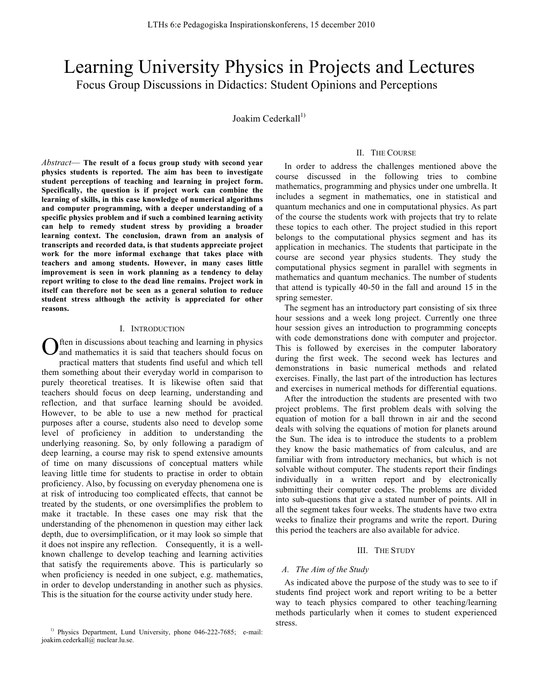# Learning University Physics in Projects and Lectures Focus Group Discussions in Didactics: Student Opinions and Perceptions

Joakim Cederkall $^{1)}$ 

*Abstract*— **The result of a focus group study with second year physics students is reported. The aim has been to investigate student perceptions of teaching and learning in project form. Specifically, the question is if project work can combine the learning of skills, in this case knowledge of numerical algorithms and computer programming, with a deeper understanding of a specific physics problem and if such a combined learning activity can help to remedy student stress by providing a broader learning context. The conclusion, drawn from an analysis of transcripts and recorded data, is that students appreciate project work for the more informal exchange that takes place with teachers and among students. However, in many cases little improvement is seen in work planning as a tendency to delay report writing to close to the dead line remains. Project work in itself can therefore not be seen as a general solution to reduce student stress although the activity is appreciated for other reasons.**

#### I. INTRODUCTION

ften in discussions about teaching and learning in physics and mathematics it is said that teachers should focus on practical matters that students find useful and which tell them something about their everyday world in comparison to purely theoretical treatises. It is likewise often said that teachers should focus on deep learning, understanding and reflection, and that surface learning should be avoided. However, to be able to use a new method for practical purposes after a course, students also need to develop some level of proficiency in addition to understanding the underlying reasoning. So, by only following a paradigm of deep learning, a course may risk to spend extensive amounts of time on many discussions of conceptual matters while leaving little time for students to practise in order to obtain proficiency. Also, by focussing on everyday phenomena one is at risk of introducing too complicated effects, that cannot be treated by the students, or one oversimplifies the problem to make it tractable. In these cases one may risk that the understanding of the phenomenon in question may either lack depth, due to oversimplification, or it may look so simple that it does not inspire any reflection. Consequently, it is a wellknown challenge to develop teaching and learning activities that satisfy the requirements above. This is particularly so when proficiency is needed in one subject, e.g. mathematics, in order to develop understanding in another such as physics. This is the situation for the course activity under study here. O

## II. THE COURSE

In order to address the challenges mentioned above the course discussed in the following tries to combine mathematics, programming and physics under one umbrella. It includes a segment in mathematics, one in statistical and quantum mechanics and one in computational physics. As part of the course the students work with projects that try to relate these topics to each other. The project studied in this report belongs to the computational physics segment and has its application in mechanics. The students that participate in the course are second year physics students. They study the computational physics segment in parallel with segments in mathematics and quantum mechanics. The number of students that attend is typically 40-50 in the fall and around 15 in the spring semester.

The segment has an introductory part consisting of six three hour sessions and a week long project. Currently one three hour session gives an introduction to programming concepts with code demonstrations done with computer and projector. This is followed by exercises in the computer laboratory during the first week. The second week has lectures and demonstrations in basic numerical methods and related exercises. Finally, the last part of the introduction has lectures and exercises in numerical methods for differential equations.

After the introduction the students are presented with two project problems. The first problem deals with solving the equation of motion for a ball thrown in air and the second deals with solving the equations of motion for planets around the Sun. The idea is to introduce the students to a problem they know the basic mathematics of from calculus, and are familiar with from introductory mechanics, but which is not solvable without computer. The students report their findings individually in a written report and by electronically submitting their computer codes. The problems are divided into sub-questions that give a stated number of points. All in all the segment takes four weeks. The students have two extra weeks to finalize their programs and write the report. During this period the teachers are also available for advice.

# III. THE STUDY

## *A. The Aim of the Study*

As indicated above the purpose of the study was to see to if students find project work and report writing to be a better way to teach physics compared to other teaching/learning methods particularly when it comes to student experienced stress.

<sup>&</sup>lt;sup>1)</sup> Physics Department, Lund University, phone 046-222-7685; e-mail: joakim.cederkall@ nuclear.lu.se.